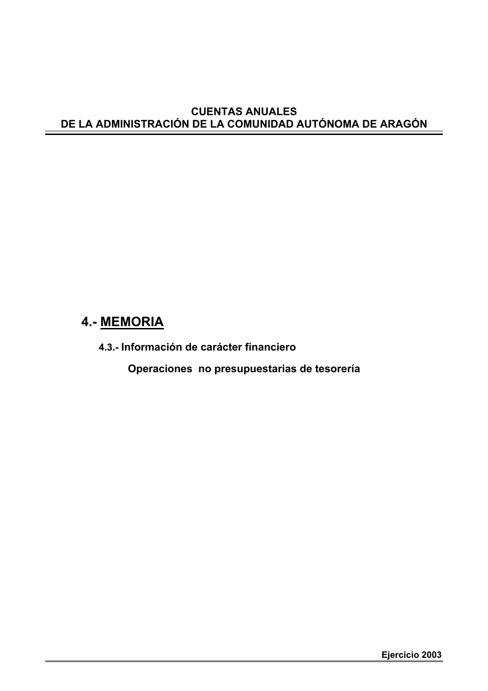## **CUENTAS ANUALES DE LA ADMINISTRACIÓN DE LA COMUNIDAD AUTÓNOMA DE ARAGÓN**

# **4.- MEMORIA**

**4.3.- Información de carácter financiero**

**Operaciones no presupuestarias de tesorería**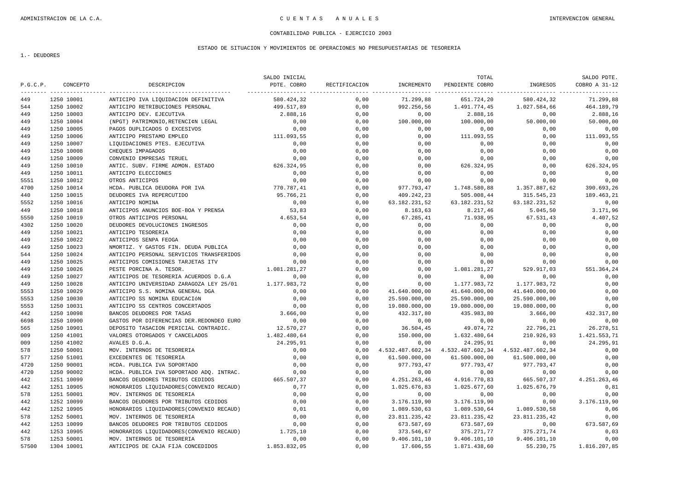### ESTADO DE SITUACION Y MOVIMIENTOS DE OPERACIONES NO PRESUPUESTARIAS DE TESORERIA

1.- DEUDORES

|          |            |                                           | SALDO INICIAL |               |               | TOTAL                                              |               | SALDO PDTE.   |
|----------|------------|-------------------------------------------|---------------|---------------|---------------|----------------------------------------------------|---------------|---------------|
| P.G.C.P. | CONCEPTO   | DESCRIPCION                               | PDTE. COBRO   | RECTIFICACION | INCREMENTO    | PENDIENTE COBRO                                    | INGRESOS      | COBRO A 31-12 |
| 449      | 1250 10001 | ANTICIPO IVA LIOUIDACION DEFINITIVA       | 580.424.32    | 0,00          | 71.299.88     | 651.724.20                                         | 580.424.32    | 71.299.88     |
| 544      | 1250 10002 | ANTICIPO RETRIBUCIONES PERSONAL           | 499.517,89    | 0,00          | 992.256,56    | 1.491.774,45                                       | 1.027.584,66  | 464.189,79    |
| 449      | 1250 10003 | ANTICIPO DEV. EJECUTIVA                   | 2.888,16      | 0,00          | 0,00          | 2.888,16                                           | 0.00          | 2.888,16      |
| 449      | 1250 10004 | (NPGT) PATRIMONIO, RETENCI¢N LEGAL        | 0.00          | 0.00          | 100.000,00    | 100.000,00                                         | 50.000.00     | 50.000,00     |
| 449      | 1250 10005 | PAGOS DUPLICADOS O EXCESIVOS              | 0,00          | 0,00          | 0,00          | 0,00                                               | 0,00          | 0,00          |
| 449      | 1250 10006 | ANTICIPO PRESTAMO EMPLEO                  | 111.093,55    | 0,00          | 0,00          | 111.093,55                                         | 0,00          | 111.093,55    |
| 449      | 1250 10007 | LIQUIDACIONES PTES. EJECUTIVA             | 0,00          | 0,00          | 0,00          | 0,00                                               | 0,00          | 0,00          |
| 449      | 1250 10008 | CHEOUES IMPAGADOS                         | 0,00          | 0,00          | 0,00          | 0,00                                               | 0,00          | 0,00          |
| 449      | 1250 10009 | CONVENIO EMPRESAS TERUEL                  | 0,00          | 0,00          | 0,00          | 0,00                                               | 0,00          | 0,00          |
| 449      | 1250 10010 | ANTIC. SUBV. FIRME ADMON. ESTADO          | 626.324,95    | 0,00          | 0,00          | 626.324,95                                         | 0,00          | 626.324,95    |
| 449      | 1250 10011 | ANTICIPO ELECCIONES                       | 0.00          | 0,00          | 0,00          | 0,00                                               | 0,00          | 0,00          |
| 5551     | 1250 10012 | OTROS ANTICIPOS                           | 0,00          | 0,00          | 0,00          | 0,00                                               | 0,00          | 0,00          |
| 4700     | 1250 10014 | HCDA. PUBLICA DEUDORA POR IVA             | 770.787,41    | 0.00          | 977.793,47    | 1.748.580,88                                       | 1.357.887,62  | 390.693,26    |
| 440      | 1250 10015 | DEUDORES IVA REPERCUTIDO                  | 95.766,21     | 0,00          | 409.242,23    | 505.008,44                                         | 315.545,23    | 189.463,21    |
| 5552     | 1250 10016 | ANTICIPO NOMINA                           | 0,00          | 0,00          | 63.182.231,52 | 63.182.231,52                                      | 63.182.231,52 | 0,00          |
| 449      | 1250 10018 | ANTICIPOS ANUNCIOS BOE-BOA Y PRENSA       | 53,83         | 0,00          | 8.163,63      | 8.217,46                                           | 5.045,50      | 3.171,96      |
| 5550     | 1250 10019 | OTROS ANTICIPOS PERSONAL                  | 4.653,54      | 0,00          | 67.285,41     | 71.938,95                                          | 67.531,43     | 4.407,52      |
| 4302     | 1250 10020 | DEUDORES DEVOLUCIONES INGRESOS            | 0,00          | 0,00          | 0,00          | 0,00                                               | 0,00          | 0,00          |
| 449      | 1250 10021 | ANTICIPO TESORERIA                        | 0,00          | 0,00          | 0,00          | 0,00                                               | 0,00          | 0,00          |
| 449      | 1250 10022 | ANTICIPOS SENPA FEOGA                     | 0,00          | 0,00          | 0,00          | 0,00                                               | 0,00          | 0,00          |
| 449      | 1250 10023 | NMORTIZ. Y GASTOS FIN. DEUDA PUBLICA      | 0,00          | 0,00          | 0,00          | 0,00                                               | 0,00          | 0,00          |
| 544      | 1250 10024 | ANTICIPO PERSONAL SERVICIOS TRANSFERIDOS  | 0,00          | 0,00          | 0,00          | 0,00                                               | 0,00          | 0,00          |
| 449      | 1250 10025 | ANTICIPOS COMISIONES TARJETAS ITV         | 0,00          | 0,00          | 0,00          | 0,00                                               | 0,00          | 0,00          |
| 449      | 1250 10026 | PESTE PORCINA A. TESOR.                   | 1.081.281,27  | 0,00          | 0,00          | 1.081.281,27                                       | 529.917,03    | 551.364,24    |
| 449      | 1250 10027 | ANTICIPOS DE TESORERIA ACUERDOS D.G.A     | 0.00          | 0.00          | 0,00          | 0,00                                               | 0,00          | 0,00          |
| 449      | 1250 10028 | ANTICIPO UNIVERSIDAD ZARAGOZA LEY 25/01   | 1.177.983,72  | 0,00          | 0,00          | 1.177.983,72                                       | 1.177.983,72  | 0,00          |
| 5553     | 1250 10029 | ANTICIPO S.S. NOMINA GENERAL DGA          | 0,00          | 0,00          | 41.640.000,00 | 41.640.000,00                                      | 41.640.000,00 | 0,00          |
| 5553     | 1250 10030 | ANTICIPO SS NOMINA EDUCACIÓN              | 0,00          | 0,00          | 25.590.000,00 | 25.590.000,00                                      | 25.590.000,00 | 0,00          |
| 5553     | 1250 10031 | ANTICIPO SS CENTROS CONCERTADOS           | 0,00          | 0,00          | 19.080.000,00 | 19.080.000,00                                      | 19.080.000,00 | 0,00          |
| 442      | 1250 10098 | BANCOS DEUDORES POR TASAS                 | 3.666,00      | 0,00          | 432.317,80    | 435.983,80                                         | 3.666,00      | 432.317,80    |
| 6698     | 1250 10900 | GASTOS POR DIFERENCIAS DER.REDONDEO EURO  | 0,00          | 0.00          | 0,00          | 0,00                                               | 0,00          | 0,00          |
| 565      | 1250 10901 | DEPOSITO TASACION PERICIAL CONTRADIC.     | 12.570.27     | 0.00          | 36.504,45     | 49.074,72                                          | 22.796,21     | 26.278,51     |
| 009      | 1250 41001 | VALORES OTORGADOS Y CANCELADOS            | 1.482.480,64  | 0,00          | 150.000,00    | 1.632.480,64                                       | 210.926,93    | 1.421.553,71  |
| 009      | 1250 41002 | AVALES D.G.A.                             | 24.295,91     | 0,00          | 0,00          | 24.295,91                                          | 0.00          | 24.295.91     |
| 578      | 1250 50001 | MOV. INTERNOS DE TESORERIA                | 0,00          | 0,00          |               | 4.532.487.602,34 4.532.487.602,34 4.532.487.602,34 |               | 0,00          |
| 577      | 1250 51001 | EXCEDENTES DE TESORERIA                   | 0,00          | 0,00          | 61.500.000,00 | 61.500.000,00                                      | 61.500.000,00 | 0,00          |
| 4720     | 1250 90001 | HCDA. PUBLICA IVA SOPORTADO               | 0,00          | 0,00          | 977.793,47    | 977.793,47                                         | 977.793,47    | 0,00          |
| 4720     | 1250 90002 | HCDA. PUBLICA IVA SOPORTADO ADO. INTRAC.  | 0,00          | 0,00          | 0,00          | 0,00                                               | 0,00          | 0,00          |
| 442      | 1251 10099 | BANCOS DEUDORES TRIBUTOS CEDIDOS          | 665.507,37    | 0,00          | 4.251.263,46  | 4.916.770,83                                       | 665.507,37    | 4.251.263,46  |
| 442      | 1251 10905 | HONORARIOS LIQUIDADORES (CONVENIO RECAUD) | 0,77          | 0,00          | 1.025.676,83  | 1.025.677,60                                       | 1.025.676,79  | 0,81          |
| 578      | 1251 50001 | MOV. INTERNOS DE TESORERIA                | 0.00          | 0.00          | 0,00          | 0.00                                               | 0,00          | 0,00          |
| 442      | 1252 10099 | BANCOS DEUDORES POR TRIBUTOS CEDIDOS      | 0,00          | 0,00          | 3.176.119,90  | 3.176.119,90                                       | 0,00          | 3.176.119,90  |
| 442      | 1252 10905 | HONORARIOS LIQUIDADORES (CONVENIO RECAUD) | 0,01          | 0,00          | 1.089.530,63  | 1.089.530,64                                       | 1.089.530,58  | 0,06          |
| 578      | 1252 50001 | MOV. INTERNOS DE TESORERIA                | 0,00          | 0,00          | 23.811.235,42 | 23.811.235,42                                      | 23.811.235,42 | 0,00          |
| 442      | 1253 10099 | BANCOS DEUDORES POR TRIBUTOS CEDIDOS      | 0,00          | 0,00          | 673.587,69    | 673.587,69                                         | 0,00          | 673.587,69    |
| 442      | 1253 10905 | HONORARIOS LIQUIDADORES (CONVENIO RECAUD) | 1.725,10      | 0,00          | 373.546,67    | 375.271,77                                         | 375.271,74    | 0,03          |
| 578      | 1253 50001 | MOV. INTERNOS DE TESORERIA                | 0,00          | 0,00          | 9.406.101,10  | 9.406.101,10                                       | 9.406.101,10  | 0,00          |
| 57500    | 1304 10001 | ANTICIPOS DE CAJA FIJA CONCEDIDOS         | 1.853.832.05  | 0.00          | 17.606,55     | 1.871.438,60                                       | 55.230,75     | 1.816.207,85  |
|          |            |                                           |               |               |               |                                                    |               |               |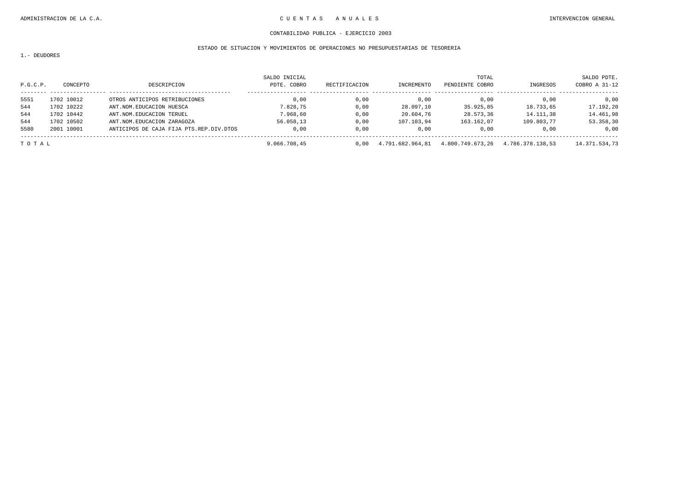### ESTADO DE SITUACION Y MOVIMIENTOS DE OPERACIONES NO PRESUPUESTARIAS DE TESORERIA

1.- DEUDORES

|          |            |                                         | SALDO INICIAL |               |                  | TOTAL            |                  | SALDO PDTE.   |
|----------|------------|-----------------------------------------|---------------|---------------|------------------|------------------|------------------|---------------|
| P.G.C.P. | CONCEPTO   | DESCRIPCION                             | PDTE. COBRO   | RECTIFICACION | INCREMENTO       | PENDIENTE COBRO  | INGRESOS         | COBRO A 31-12 |
| 5551     | 1702 10012 | OTROS ANTICIPOS RETRIBUCIONES           | 0.00          | 0.00          | 0.00             | 0.00             | 0.00             | 0,00          |
| 544      | 1702 10222 | ANT.NOM.EDUCACION HUESCA                | 7.828.75      | 0,00          | 28.097,10        | 35.925,85        | 18.733,65        | 17.192,20     |
| 544      | 1702 10442 | ANT.NOM.EDUCACION TERUEL                | 7.968.60      | 0,00          | 20.604,76        | 28.573,36        | 14.111,38        | 14.461,98     |
| 544      | 1702 10502 | ANT.NOM.EDUCACION ZARAGOZA              | 56.058.13     | 0.00          | 107.103.94       | 163.162,07       | 109.803.77       | 53.358,30     |
| 5580     | 2001 10001 | ANTICIPOS DE CAJA FIJA PTS.REP.DIV.DTOS | 0.00          | 0.00          | 0.00             | 0.00             | 0.00             | 0,00          |
| TOTAL    |            |                                         | 9.066.708,45  | 0.00          | 4.791.682.964.81 | 4.800.749.673,26 | 4.786.378.138.53 | 14.371.534,73 |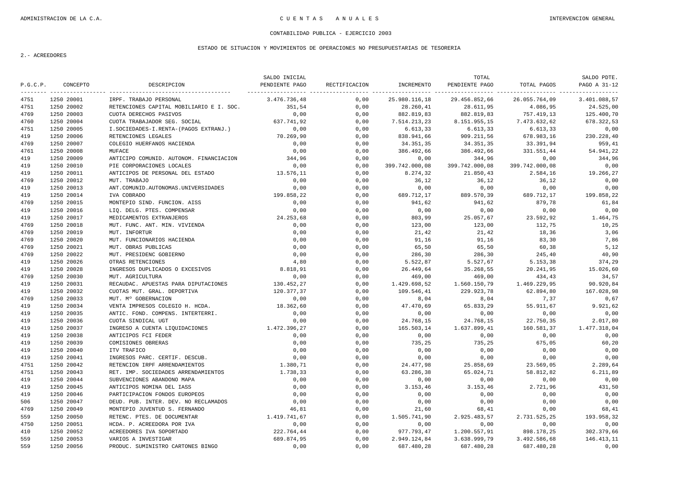### ESTADO DE SITUACION Y MOVIMIENTOS DE OPERACIONES NO PRESUPUESTARIAS DE TESORERIA

|          |            |                                          | SALDO INICIAL  |               |                | TOTAL          |                | SALDO PDTE.  |
|----------|------------|------------------------------------------|----------------|---------------|----------------|----------------|----------------|--------------|
| P.G.C.P. | CONCEPTO   | DESCRIPCION                              | PENDIENTE PAGO | RECTIFICACION | INCREMENTO     | PENDIENTE PAGO | TOTAL PAGOS    | PAGO A 31-12 |
| 4751     | 1250 20001 | IRPF. TRABAJO PERSONAL                   | 3.476.736,48   | 0,00          | 25.980.116,18  | 29.456.852,66  | 26.055.764,09  | 3.401.088.57 |
| 4751     | 1250 20002 | RETENCIONES CAPITAL MOBILIARIO E I. SOC. | 351,54         | 0,00          | 28.260,41      | 28.611,95      | 4.086,95       | 24.525,00    |
| 4769     | 1250 20003 | CUOTA DERECHOS PASIVOS                   | 0,00           | 0,00          | 882.819,83     | 882.819,83     | 757.419,13     | 125.400,70   |
| 4760     | 1250 20004 | CUOTA TRABAJADOR SEG. SOCIAL             | 637.741,92     | 0,00          | 7.514.213,23   | 8.151.955,15   | 7.473.632,62   | 678.322,53   |
| 4751     | 1250 20005 | I.SOCIEDADES-I.RENTA-(PAGOS EXTRANJ.)    | 0.00           | 0,00          | 6.613,33       | 6.613, 33      | 6.613, 33      | 0,00         |
| 419      | 1250 20006 | RETENCIONES LEGALES                      | 70.269.90      | 0.00          | 838.941,66     | 909.211,56     | 678.983,16     | 230.228,40   |
| 4769     | 1250 20007 | COLEGIO HUERFANOS HACIENDA               | 0,00           | 0,00          | 34.351,35      | 34.351,35      | 33.391,94      | 959,41       |
| 4761     | 1250 20008 | MUFACE                                   | 0.00           | 0,00          | 386.492,66     | 386.492,66     | 331.551,44     | 54.941,22    |
| 419      | 1250 20009 | ANTICIPO COMUNID. AUTONOM. FINANCIACION  | 344,96         | 0,00          | 0,00           | 344,96         | 0,00           | 344,96       |
| 419      | 1250 20010 | PIE CORPORACIONES LOCALES                | 0,00           | 0,00          | 399.742.000,08 | 399.742.000,08 | 399.742.000,08 | 0,00         |
| 419      | 1250 20011 | ANTICIPOS DE PERSONAL DEL ESTADO         | 13.576,11      | 0,00          | 8.274,32       | 21.850,43      | 2.584,16       | 19.266,27    |
| 4769     | 1250 20012 | MUT. TRABAJO                             | 0,00           | 0,00          | 36,12          | 36,12          | 36,12          | 0,00         |
| 419      | 1250 20013 | ANT. COMUNID. AUTONOMAS. UNIVERSIDADES   | 0,00           | 0,00          | 0,00           | 0,00           | 0,00           | 0,00         |
| 419      | 1250 20014 | IVA COBRADO                              | 199.858,22     | 0.00          | 689.712,17     | 889.570,39     | 689.712,17     | 199.858,22   |
| 4769     | 1250 20015 | MONTEPIO SIND. FUNCION. AISS             | 0,00           | 0,00          | 941,62         | 941,62         | 879,78         | 61,84        |
| 419      | 1250 20016 | LIO. DELG. PTES. COMPENSAR               | 0,00           | 0,00          | 0,00           | 0,00           | 0,00           | 0,00         |
| 419      | 1250 20017 | MEDICAMENTOS EXTRANJEROS                 | 24.253,68      | 0,00          | 803,99         | 25.057,67      | 23.592,92      | 1.464,75     |
| 4769     | 1250 20018 | MUT. FUNC. ANT. MIN. VIVIENDA            | 0,00           | 0,00          | 123,00         | 123,00         | 112,75         | 10,25        |
| 4769     | 1250 20019 | MUT. INFORTUR                            | 0,00           | 0,00          | 21,42          | 21,42          | 18,36          | 3,06         |
| 4769     | 1250 20020 | MUT. FUNCIONARIOS HACIENDA               | 0,00           | 0,00          | 91,16          | 91,16          | 83,30          | 7,86         |
| 4769     | 1250 20021 | MUT. OBRAS PUBLICAS                      | 0,00           | 0,00          | 65,50          | 65,50          | 60,38          | 5,12         |
| 4769     | 1250 20022 | MUT. PRESIDENC GOBIERNO                  | 0,00           | 0,00          | 286,30         | 286,30         | 245,40         | 40,90        |
| 419      | 1250 20026 | OTRAS RETENCIONES                        | 4.80           | 0.00          | 5.522,87       | 5.527,67       | 5.153,38       | 374,29       |
| 419      | 1250 20028 | INGRESOS DUPLICADOS O EXCESIVOS          | 8.818,91       | 0,00          | 26.449,64      | 35.268,55      | 20.241,95      | 15.026,60    |
| 4769     | 1250 20030 | MUT. AGRICULTURA                         | 0,00           | 0,00          | 469,00         | 469,00         | 434,43         | 34,57        |
| 419      | 1250 20031 | RECAUDAC. APUESTAS PARA DIPUTACIONES     | 130.452,27     | 0.00          | 1.429.698,52   | 1.560.150,79   | 1.469.229,95   | 90.920,84    |
| 419      | 1250 20032 | CUOTAS MUT. GRAL. DEPORTIVA              | 120.377,37     | 0,00          | 109.546,41     | 229.923,78     | 62.894,80      | 167.028,98   |
| 4769     | 1250 20033 | MUT. M° GOBERNACION                      | 0,00           | 0,00          | 8,04           | 8,04           | 7,37           | 0,67         |
| 419      | 1250 20034 | VENTA IMPRESOS COLEGIO H. HCDA.          | 18.362,60      | 0,00          | 47.470,69      | 65.833,29      | 55.911,67      | 9.921,62     |
| 419      | 1250 20035 | ANTIC. FOND. COMPENS. INTERTERRI.        | 0,00           | 0,00          | 0,00           | 0,00           | 0,00           | 0,00         |
| 419      | 1250 20036 | CUOTA SINDICAL UGT                       | 0,00           | 0,00          | 24.768,15      | 24.768,15      | 22.750,35      | 2.017,80     |
| 419      | 1250 20037 | INGRESO A CUENTA LIQUIDACIONES           | 1.472.396,27   | 0,00          | 165.503,14     | 1.637.899,41   | 160.581,37     | 1.477.318,04 |
| 419      | 1250 20038 | ANTICIPOS FCI FEDER                      | 0,00           | 0,00          | 0,00           | 0,00           | 0,00           | 0,00         |
| 419      | 1250 20039 | COMISIONES OBRERAS                       | 0,00           | 0,00          | 735,25         | 735,25         | 675,05         | 60,20        |
| 419      | 1250 20040 | ITV TRAFICO                              | 0,00           | 0,00          | 0,00           | 0,00           | 0,00           | 0,00         |
| 419      | 1250 20041 | INGRESOS PARC. CERTIF. DESCUB.           | 0,00           | 0,00          | 0,00           | 0,00           | 0,00           | 0,00         |
| 4751     | 1250 20042 | RETENCION IRPF ARRENDAMIENTOS            | 1.380,71       | 0,00          | 24.477,98      | 25.858,69      | 23.569,05      | 2.289,64     |
| 4751     | 1250 20043 | RET. IMP. SOCIEDADES ARRENDAMIENTOS      | 1.738,33       | 0,00          | 63.286,38      | 65.024,71      | 58.812,82      | 6.211,89     |
| 419      | 1250 20044 | SUBVENCIONES ABANDONO MAPA               | 0,00           | 0,00          | 0,00           | 0,00           | 0,00           | 0,00         |
| 419      | 1250 20045 | ANTICIPOS NOMINA DEL IASS                | 0,00           | 0,00          | 3.153, 46      | 3.153,46       | 2.721,96       | 431,50       |
| 419      | 1250 20046 | PARTICIPACION FONDOS EUROPEOS            | 0.00           | 0,00          | 0,00           | 0,00           | 0,00           | 0,00         |
| 506      | 1250 20047 | DEUD. PUB. INTER. DEV. NO RECLAMADOS     | 0,00           | 0,00          | 0,00           | 0,00           | 0,00           | 0,00         |
| 4769     | 1250 20049 | MONTEPIO JUVENTUD S. FERNANDO            | 46,81          | 0,00          | 21,60          | 68,41          | 0,00           | 68,41        |
| 559      | 1250 20050 | RETENC. PTES. DE DOCUMENTAR              | 1.419.741,67   | 0,00          | 1.505.741,90   | 2.925.483,57   | 2.731.525,25   | 193.958,32   |
| 4750     | 1250 20051 | HCDA. P. ACREEDORA POR IVA               | 0,00           | 0,00          | 0,00           | 0,00           | 0,00           | 0,00         |
| 410      | 1250 20052 | ACREEDORES IVA SOPORTADO                 | 222.764,44     | 0,00          | 977.793,47     | 1.200.557,91   | 898.178,25     | 302.379,66   |
| 559      | 1250 20053 | VARIOS A INVESTIGAR                      | 689.874,95     | 0,00          | 2.949.124,84   | 3.638.999,79   | 3.492.586,68   | 146.413,11   |
| 559      | 1250 20056 | PRODUC. SUMINISTRO CARTONES BINGO        | 0,00           | 0.00          | 687.480,28     | 687.480,28     | 687.480,28     | 0.00         |
|          |            |                                          |                |               |                |                |                |              |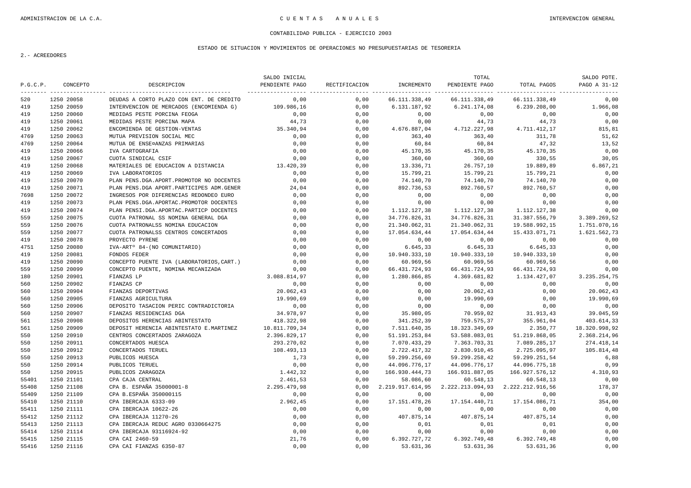### ESTADO DE SITUACION Y MOVIMIENTOS DE OPERACIONES NO PRESUPUESTARIAS DE TESORERIA

|          |            |                                           | SALDO INICIAL  |               |                  | TOTAL            |                  | SALDO PDTE.   |
|----------|------------|-------------------------------------------|----------------|---------------|------------------|------------------|------------------|---------------|
| P.G.C.P. | CONCEPTO   | DESCRIPCION                               | PENDIENTE PAGO | RECTIFICACION | INCREMENTO       | PENDIENTE PAGO   | TOTAL PAGOS      | PAGO A 31-12  |
| 520      | 1250 20058 | DEUDAS A CORTO PLAZO CON ENT. DE CREDITO  | 0,00           | 0,00          | 66.111.338,49    | 66.111.338,49    | 66.111.338,49    | 0,00          |
| 419      | 1250 20059 | INTERVENCION DE MERCADOS (ENCOMIENDA G)   | 109.986,16     | 0,00          | 6.131.187,92     | 6.241.174,08     | 6.239.208,00     | 1.966,08      |
| 419      | 1250 20060 | MEDIDAS PESTE PORCINA FEOGA               | 0,00           | 0,00          | 0,00             | 0,00             | 0,00             | 0,00          |
| 419      | 1250 20061 | MEDIDAS PESTE PORCINA MAPA                | 44.73          | 0.00          | 0.00             | 44,73            | 44.73            | 0.00          |
| 419      | 1250 20062 | ENCOMIENDA DE GESTION-VENTAS              | 35.340,94      | 0,00          | 4.676.887,04     | 4.712.227,98     | 4.711.412,17     | 815,81        |
| 4769     | 1250 20063 | MUTUA PREVISION SOCIAL MEC                | 0,00           | 0.00          | 363,40           | 363,40           | 311,78           | 51,62         |
| 4769     | 1250 20064 | MUTUA DE ENSE¤ANZAS PRIMARIAS             | 0,00           | 0,00          | 60,84            | 60,84            | 47,32            | 13,52         |
| 419      | 1250 20066 | IVA CARTOGRAFIA                           | 0,00           | 0,00          | 45.170,35        | 45.170,35        | 45.170,35        | 0,00          |
| 419      | 1250 20067 | CUOTA SINDICAL CSIF                       | 0,00           | 0,00          | 360,60           | 360,60           | 330,55           | 30,05         |
| 419      | 1250 20068 | MATERIALES DE EDUCACION A DISTANCIA       | 13.420,39      | 0,00          | 13.336,71        | 26.757,10        | 19.889,89        | 6.867,21      |
| 419      | 1250 20069 | IVA LABORATORIOS                          | 0.00           | 0,00          | 15.799,21        | 15.799,21        | 15.799,21        | 0,00          |
| 419      | 1250 20070 | PLAN PENS.DGA.APORT.PROMOTOR NO DOCENTES  | 0,00           | 0,00          | 74.140,70        | 74.140,70        | 74.140,70        | 0,00          |
| 419      | 1250 20071 | PLAN PENS.DGA APORT.PARTICIPES ADM.GENER  | 24,04          | 0,00          | 892.736,53       | 892.760,57       | 892.760,57       | 0,00          |
| 7698     | 1250 20072 | INGRESOS POR DIFERENCIAS REDONDEO EURO    | 0,00           | 0,00          | 0,00             | 0,00             | 0,00             | 0,00          |
| 419      | 1250 20073 | PLAN PENS.DGA.APORTAC.PROMOTOR DOCENTES   | 0.00           | 0,00          | 0,00             | 0,00             | 0,00             | 0,00          |
| 419      | 1250 20074 | PLAN PENSI.DGA.APORTAC.PARTICP DOCENTES   | 0,00           | 0,00          | 1.112.127,38     | 1.112.127,38     | 1.112.127,38     | 0,00          |
| 559      | 1250 20075 | CUOTA PATRONAL SS NOMINA GENERAL DGA      | 0,00           | 0,00          | 34.776.826,31    | 34.776.826,31    | 31.387.556,79    | 3.389.269,52  |
| 559      | 1250 20076 | CUOTA PATRONALSS NOMINA EDUCACION         | 0,00           | 0,00          | 21.340.062,31    | 21.340.062,31    | 19.588.992,15    | 1.751.070,16  |
| 559      | 1250 20077 | CUOTA PATRONALSS CENTROS CONCERTADOS      | 0,00           | 0,00          | 17.054.634,44    | 17.054.634,44    | 15.433.071,71    | 1.621.562,73  |
| 419      | 1250 20078 | PROYECTO PYRENE                           | 0,00           | 0,00          | 0,00             | 0,00             | 0,00             | 0,00          |
| 4751     | 1250 20080 | IVA-ART <sup>°</sup> 84-(NO COMUNITARIO)  | 0,00           | 0,00          | 6.645, 33        | 6.645, 33        | 6.645, 33        | 0,00          |
| 419      | 1250 20081 | FONDOS FEDER                              | 0,00           | 0,00          | 10.940.333,10    | 10.940.333,10    | 10.940.333, 10   | 0,00          |
| 419      | 1250 20090 | CONCEPTO PUENTE IVA (LABORATORIOS, CART.) | 0,00           | 0,00          | 60.969,56        | 60.969,56        | 60.969,56        | 0,00          |
| 559      | 1250 20099 | CONCEPTO PUENTE, NOMINA MECANIZADA        | 0.00           | 0.00          | 66.431.724,93    | 66.431.724,93    | 66.431.724,93    | 0,00          |
| 180      | 1250 20901 | FIANZAS LP                                | 3.088.814.97   | 0.00          | 1.280.866.85     | 4.369.681.82     | 1.134.427.07     | 3.235.254.75  |
| 560      | 1250 20902 | FIANZAS CP                                | 0,00           | 0,00          | 0,00             | 0,00             | 0,00             | 0,00          |
| 560      | 1250 20904 | FIANZAS DEPORTIVAS                        | 20.062,43      | 0.00          | 0,00             | 20.062,43        | 0,00             | 20.062,43     |
| 560      | 1250 20905 | FIANZAS AGRICULTURA                       | 19.990,69      | 0,00          | 0,00             | 19.990,69        | 0,00             | 19.990,69     |
| 560      | 1250 20906 | DEPOSITO TASACION PERIC CONTRADICTORIA    | 0,00           | 0,00          | 0,00             | 0,00             | 0,00             | 0,00          |
| 560      | 1250 20907 | FIANZAS RESIDENCIAS DGA                   | 34.978,97      | 0,00          | 35.980,05        | 70.959,02        | 31.913,43        | 39.045,59     |
| 561      | 1250 20908 | DEPOSITOS HERENCIAS ABINTESTATO           | 418.322,98     | 0,00          | 341.252,39       | 759.575,37       | 355.961,04       | 403.614,33    |
| 561      | 1250 20909 | DEPOSIT HERENCIA ABINTESTATO E.MARTINEZ   | 10.811.709,34  | 0,00          | 7.511.640,35     | 18.323.349,69    | 2.350,77         | 18.320.998,92 |
| 550      | 1250 20910 | CENTROS CONCERTADOS ZARAGOZA              | 2.396.829,17   | 0,00          | 51.191.253,84    | 53.588.083,01    | 51.219.868,05    | 2.368.214,96  |
| 550      | 1250 20911 | CONCERTADOS HUESCA                        | 293.270,02     | 0.00          | 7.070.433,29     | 7.363.703,31     | 7.089.285,17     | 274.418,14    |
| 550      | 1250 20912 | CONCERTADOS TERUEL                        | 108.493,13     | 0,00          | 2.722.417,32     | 2.830.910,45     | 2.725.095,97     | 105.814,48    |
| 550      | 1250 20913 | PUBLICOS HUESCA                           | 1,73           | 0,00          | 59.299.256,69    | 59.299.258,42    | 59.299.251,54    | 6,88          |
| 550      | 1250 20914 | PUBLICOS TERUEL                           | 0,00           | 0,00          | 44.096.776,17    | 44.096.776,17    | 44.096.775,18    | 0,99          |
| 550      | 1250 20915 | PUBLICOS ZARAGOZA                         | 1.442,32       | 0,00          | 166.930.444,73   | 166.931.887,05   | 166.927.576,12   | 4.310,93      |
| 55401    | 1250 21101 | CPA CAJA CENTRAL                          | 2.461,53       | 0,00          | 58.086,60        | 60.548,13        | 60.548,13        | 0,00          |
| 55408    | 1250 21108 | CPA B. ESPAÑA 35000001-8                  | 2.295.479,98   | 0,00          | 2.219.917.614,95 | 2.222.213.094,93 | 2.222.212.916,56 | 178,37        |
| 55409    | 1250 21109 | CPA B.ESPAÑA 350000115                    | 0.00           | 0,00          | 0.00             | 0,00             | 0,00             | 0.00          |
| 55410    | 1250 21110 | CPA IBERCAJA 6333-09                      | 2.962,45       | 0,00          | 17.151.478,26    | 17.154.440,71    | 17.154.086,71    | 354,00        |
| 55411    | 1250 21111 | CPA IBERCAJA 10622-26                     | 0,00           | 0.00          | 0.00             | 0,00             | 0.00             | 0,00          |
| 55412    | 1250 21112 | CPA IBERCAJA 11270-26                     | 0,00           | 0,00          | 407.875,14       | 407.875,14       | 407.875,14       | 0,00          |
| 55413    | 1250 21113 | CPA IBERCAJA REDUC AGRO 0330664275        | 0,00           | 0,00          | 0,01             | 0,01             | 0,01             | 0,00          |
| 55414    | 1250 21114 | CPA IBERCAJA 93116924-92                  | 0,00           | 0,00          | 0,00             | 0,00             | 0,00             | 0,00          |
| 55415    | 1250 21115 | CPA CAI 2460-59                           | 21,76          | 0,00          | 6.392.727,72     | 6.392.749,48     | 6.392.749,48     | 0,00          |
| 55416    | 1250 21116 | CPA CAI FIANZAS 6350-87                   | 0.00           | 0.00          | 53.631,36        | 53.631,36        | 53.631,36        | 0.00          |
|          |            |                                           |                |               |                  |                  |                  |               |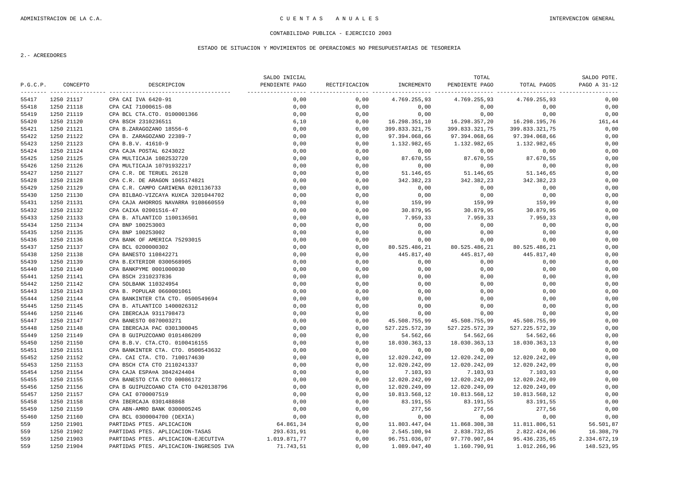### ESTADO DE SITUACION Y MOVIMIENTOS DE OPERACIONES NO PRESUPUESTARIAS DE TESORERIA

|          |            |                                                                        | SALDO INICIAL                    |               |                               | TOTAL                         |                | SALDO PDTE.  |
|----------|------------|------------------------------------------------------------------------|----------------------------------|---------------|-------------------------------|-------------------------------|----------------|--------------|
| P.G.C.P. | CONCEPTO   | DESCRIPCION                                                            | PENDIENTE PAGO<br>______________ | RECTIFICACION | INCREMENTO                    | PENDIENTE PAGO                | TOTAL PAGOS    | PAGO A 31-12 |
| 55417    | 1250 21117 | CPA CAI IVA 6420-91                                                    | 0,00                             | 0,00          | 4.769.255,93                  | 4.769.255,93                  | 4.769.255,93   | 0,00         |
| 55418    | 1250 21118 | CPA CAI 71000615-08                                                    | 0,00                             | 0,00          | 0,00                          | 0,00                          | 0,00           | 0,00         |
| 55419    | 1250 21119 | CPA BCL CTA.CTO. 0100001366                                            | 0,00                             | 0,00          | 0,00                          | 0,00                          | 0,00           | 0,00         |
| 55420    | 1250 21120 | CPA BSCH 2310236511                                                    | 6,10                             | 0,00          | 16.298.351,10                 | 16.298.357,20                 | 16.298.195,76  | 161,44       |
| 55421    | 1250 21121 | CPA B.ZARAGOZANO 18556-6                                               | 0,00                             | 0,00          | 399.833.321,75                | 399.833.321,75                | 399.833.321,75 | 0,00         |
| 55422    | 1250 21122 | CPA B. ZARAGOZANO 22389-7                                              | 0,00                             | 0,00          | 97.394.068,66                 | 97.394.068,66                 | 97.394.068,66  | 0,00         |
| 55423    | 1250 21123 | CPA B.B.V. 41610-9                                                     | 0,00                             | 0,00          | 1.132.982,65                  | 1.132.982,65                  | 1.132.982,65   | 0,00         |
| 55424    | 1250 21124 | CPA CAJA POSTAL 6243022                                                | 0,00                             | 0,00          | 0,00                          | 0,00                          | 0,00           | 0,00         |
| 55425    | 1250 21125 | CPA MULTICAJA 1082532720                                               | 0,00                             | 0,00          | 87.670,55                     | 87.670,55                     | 87.670,55      | 0,00         |
| 55426    | 1250 21126 | CPA MULTICAJA 10791932217                                              | 0,00                             | 0,00          | 0,00                          | 0,00                          | 0,00           | 0,00         |
| 55427    | 1250 21127 | CPA C.R. DE TERUEL 26128                                               | 0,00                             | 0,00          | 51.146,65                     | 51.146,65                     | 51.146,65      | 0,00         |
| 55428    | 1250 21128 | CPA C.R. DE ARAGON 1065174821                                          | 0,00                             | 0,00          | 342.382,23                    | 342.382,23                    | 342.382,23     | 0,00         |
| 55429    | 1250 21129 | CPA C.R. CAMPO CARI¥ENA 0201136733                                     | 0,00                             | 0,00          | 0,00                          | 0,00                          | 0,00           | 0,00         |
| 55430    | 1250 21130 | CPA BILBAO-VIZCAYA KUXCA 3201044702                                    | 0,00                             | 0,00          | 0,00                          | 0,00                          | 0,00           | 0,00         |
| 55431    | 1250 21131 | CPA CAJA AHORROS NAVARRA 9108660559                                    | 0,00                             | 0,00          | 159,99                        | 159,99                        | 159,99         | 0,00         |
| 55432    | 1250 21132 | CPA CAIXA 02001516-47                                                  | 0,00                             | 0,00          | 30.879,95                     | 30.879,95                     | 30.879,95      | 0,00         |
| 55433    | 1250 21133 | CPA B. ATLANTICO 1100136501                                            | 0,00                             | 0,00          | 7.959,33                      | 7.959,33                      | 7.959,33       | 0,00         |
| 55434    | 1250 21134 | CPA BNP 100253003                                                      | 0,00                             | 0,00          | 0,00                          | 0,00                          | 0,00           | 0,00         |
| 55435    | 1250 21135 | CPA BNP 100253002                                                      | 0,00                             | 0,00          | 0,00                          | 0,00                          | 0,00           | 0,00         |
| 55436    | 1250 21136 | CPA BANK OF AMERICA 75293015                                           | 0,00                             | 0,00          | 0,00                          | 0,00                          | 0,00           | 0,00         |
| 55437    | 1250 21137 | CPA BCL 0200000302                                                     | 0,00                             | 0,00          | 80.525.486,21                 | 80.525.486,21                 | 80.525.486,21  | 0,00         |
| 55438    | 1250 21138 | CPA BANESTO 110842271                                                  | 0,00                             | 0,00          | 445.817,40                    | 445.817,40                    | 445.817,40     | 0,00         |
| 55439    | 1250 21139 | CPA B.EXTERIOR 0300568905                                              | 0,00                             | 0,00          | 0,00                          | 0,00                          | 0,00           | 0,00         |
| 55440    | 1250 21140 | CPA BANKPYME 0001000030                                                | 0,00                             | 0,00          | 0,00                          | 0,00                          | 0,00           | 0,00         |
| 55441    | 1250 21141 | CPA BSCH 2310237836                                                    | 0,00                             | 0,00          | 0,00                          | 0,00                          | 0,00           | 0,00         |
| 55442    | 1250 21142 | CPA SOLBANK 110324954                                                  | 0,00                             | 0,00          | 0,00                          | 0,00                          | 0,00           | 0,00         |
| 55443    | 1250 21143 | CPA B. POPULAR 0660001061                                              | 0,00                             | 0,00          | 0,00                          | 0,00                          | 0,00           | 0,00         |
| 55444    | 1250 21144 | CPA BANKINTER CTA CTO. 0500549694                                      | 0,00                             | 0,00          | 0,00                          | 0,00                          | 0,00           | 0,00         |
| 55445    | 1250 21145 | CPA B. ATLANTICO 1400026312                                            | 0,00                             | 0,00          | 0,00                          | 0,00                          | 0,00           | 0,00         |
| 55446    | 1250 21146 | CPA IBERCAJA 9311798473                                                | 0,00                             | 0,00          | 0,00                          | 0,00                          | 0,00           | 0,00         |
| 55447    | 1250 21147 | CPA BANESTO 0870003271                                                 | 0,00                             | 0,00          | 45.508.755,99                 | 45.508.755,99                 | 45.508.755,99  | 0,00         |
| 55448    | 1250 21148 | CPA IBERCAJA PAC 0301300045                                            | 0,00                             | 0,00          | 527.225.572,39                | 527.225.572,39                | 527.225.572,39 | 0,00         |
| 55449    | 1250 21149 | CPA B GUIPUZCOANO 0101486209                                           | 0,00                             | 0,00          | 54.562,66                     | 54.562,66                     | 54.562,66      | 0,00         |
| 55450    | 1250 21150 | CPA B.B.V. CTA.CTO. 0100416155                                         | 0,00                             | 0,00          | 18.030.363,13                 | 18.030.363,13                 | 18.030.363,13  | 0,00         |
| 55451    | 1250 21151 | CPA BANKINTER CTA. CTO. 0500543632                                     | 0,00                             | 0,00          | 0,00                          | 0,00                          | 0,00           | 0,00         |
| 55452    | 1250 21152 | CPA. CAI CTA. CTO. 7100174630                                          | 0,00                             | 0,00          | 12.020.242,09                 | 12.020.242,09                 | 12.020.242,09  | 0,00         |
| 55453    | 1250 21153 | CPA BSCH CTA CTO 2110241337                                            | 0,00                             | 0,00          | 12.020.242,09                 | 12.020.242,09                 | 12.020.242,09  | 0,00         |
| 55454    | 1250 21154 | CPA CAJA ESPA¤A 3042424404                                             | 0,00                             | 0,00          | 7.103,93                      | 7.103,93                      | 7.103,93       | 0,00         |
| 55455    | 1250 21155 | CPA BANESTO CTA CTO 00086172                                           | 0,00                             | 0,00          | 12.020.242,09                 | 12.020.242,09                 | 12.020.242,09  | 0,00         |
| 55456    | 1250 21156 | CPA B GUIPUZCOANO CTA CTO 0420138796                                   | 0,00                             | 0,00          | 12.020.249,09                 | 12.020.249,09                 | 12.020.249,09  | 0,00         |
| 55457    | 1250 21157 | CPA CAI 0700007519                                                     | 0,00                             | 0,00          | 10.813.568,12                 | 10.813.568,12                 | 10.813.568,12  | 0,00         |
| 55458    | 1250 21158 | CPA IBERCAJA 0301488868                                                | 0,00                             | 0,00          | 83.191,55                     | 83.191,55                     | 83.191,55      | 0,00         |
| 55459    | 1250 21159 | CPA ABN-AMRO BANK 0300005245                                           | 0,00                             | 0,00          | 277,56                        | 277,56                        | 277,56         | 0,00         |
| 55460    | 1250 21160 | CPA BCL 0300004700 (DEXIA)                                             | 0,00                             | 0,00          | 0,00                          | 0,00                          | 0,00           | 0,00         |
| 559      | 1250 21901 | PARTIDAS PTES. APLICACION                                              | 64.861,34                        | 0,00          |                               | 11.868.308,38                 | 11.811.806,51  | 56.501,87    |
| 559      | 1250 21902 |                                                                        | 293.631,91                       | 0,00          | 11.803.447,04<br>2.545.100,94 |                               | 2.822.424,06   | 16.308,79    |
| 559      | 1250 21903 | PARTIDAS PTES. APLICACION-TASAS<br>PARTIDAS PTES. APLICACION-EJECUTIVA | 1.019.871,77                     | 0,00          | 96.751.036,07                 | 2.838.732,85<br>97.770.907,84 | 95.436.235,65  | 2.334.672,19 |
| 559      | 1250 21904 | PARTIDAS PTES. APLICACION-INGRESOS IVA                                 |                                  | 0.00          | 1.089.047,40                  |                               |                |              |
|          |            |                                                                        | 71.743,51                        |               |                               | 1.160.790,91                  | 1.012.266,96   | 148.523,95   |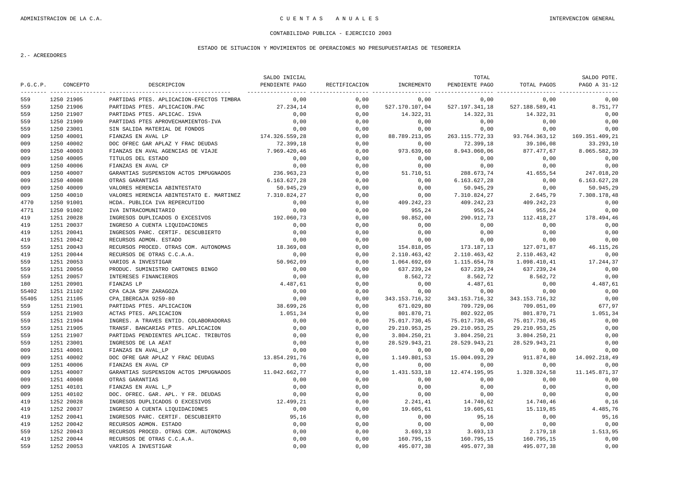### ESTADO DE SITUACION Y MOVIMIENTOS DE OPERACIONES NO PRESUPUESTARIAS DE TESORERIA

|          |            |                                          | SALDO INICIAL  |               |                | TOTAL          |                | SALDO PDTE.    |
|----------|------------|------------------------------------------|----------------|---------------|----------------|----------------|----------------|----------------|
| P.G.C.P. | CONCEPTO   | DESCRIPCION                              | PENDIENTE PAGO | RECTIFICACION | INCREMENTO     | PENDIENTE PAGO | TOTAL PAGOS    | PAGO A 31-12   |
| 559      | 1250 21905 | PARTIDAS PTES. APLICACION-EFECTOS TIMBRA | 0.00           | 0,00          | 0.00           | 0,00           | 0,00           | 0,00           |
| 559      | 1250 21906 | PARTIDAS PTES. APLICACION.PAC            | 27.234,14      | 0.00          | 527.170.107,04 | 527.197.341,18 | 527.188.589,41 | 8.751,77       |
| 559      | 1250 21907 | PARTIDAS PTES. APLICAC. ISVA             | 0,00           | 0,00          | 14.322,31      | 14.322,31      | 14.322,31      | 0,00           |
| 559      | 1250 21909 | PARTIDAS PTES APROVECHAMIENTOS-IVA       | 0,00           | 0,00          | 0,00           | 0,00           | 0,00           | 0,00           |
| 559      | 1250 23001 | SIN SALIDA MATERIAL DE FONDOS            | 0,00           | 0,00          | 0,00           | 0,00           | 0,00           | 0,00           |
| 009      | 1250 40001 | FIANZAS EN AVAL LP                       | 174.326.559,28 | 0,00          | 88.789.213,05  | 263.115.772,33 | 93.764.363,12  | 169.351.409,21 |
| 009      | 1250 40002 | DOC OFREC GAR APLAZ Y FRAC DEUDAS        | 72.399,18      | 0,00          | 0,00           | 72.399,18      | 39.106,08      | 33.293,10      |
| 009      | 1250 40003 | FIANZAS EN AVAL AGENCIAS DE VIAJE        | 7.969.420,46   | 0,00          | 973.639,60     | 8.943.060,06   | 877.477,67     | 8.065.582,39   |
| 009      | 1250 40005 | TITULOS DEL ESTADO                       | 0,00           | 0,00          | 0,00           | 0,00           | 0,00           | 0,00           |
| 009      | 1250 40006 | FIANZAS EN AVAL CP                       | 0.00           | 0.00          | 0,00           | 0,00           | 0,00           | 0.00           |
| 009      | 1250 40007 | GARANTIAS SUSPENSION ACTOS IMPUGNADOS    | 236.963,23     | 0,00          | 51.710,51      | 288.673,74     | 41.655,54      | 247.018,20     |
| 009      | 1250 40008 | OTRAS GARANTIAS                          | 6.163.627,28   | 0,00          | 0,00           | 6.163.627,28   | 0,00           | 6.163.627,28   |
| 009      | 1250 40009 | VALORES HERENCIA ABINTESTATO             | 50.945,29      | 0,00          | 0,00           | 50.945,29      | 0,00           | 50.945,29      |
| 009      | 1250 40010 | VALORES HERENCIA ABINTESTATO E. MARTINEZ | 7.310.824,27   | 0,00          | 0,00           | 7.310.824,27   | 2.645,79       | 7.308.178,48   |
| 4770     | 1250 91001 | HCDA. PUBLICA IVA REPERCUTIDO            | 0,00           | 0,00          | 409.242,23     | 409.242,23     | 409.242,23     | 0,00           |
| 4771     | 1250 91002 | IVA INTRACOMUNITARIO                     | 0,00           | 0,00          | 955,24         | 955,24         | 955,24         | 0,00           |
| 419      | 1251 20028 | INGRESOS DUPLICADOS O EXCESIVOS          | 192.060,73     | 0,00          | 98.852,00      | 290.912,73     | 112.418,27     | 178.494,46     |
| 419      | 1251 20037 | INGRESO A CUENTA LIQUIDACIONES           | 0,00           | 0,00          | 0,00           | 0,00           | 0,00           | 0,00           |
| 419      | 1251 20041 | INGRESOS PARC. CERTIF. DESCUBIERTO       | 0,00           | 0,00          | 0,00           | 0,00           | 0,00           | 0,00           |
| 419      | 1251 20042 | RECURSOS ADMON. ESTADO                   | 0.00           | 0.00          | 0,00           | 0,00           | 0,00           | 0,00           |
| 559      | 1251 20043 | RECURSOS PROCED. OTRAS COM. AUTONOMAS    | 18.369,08      | 0,00          | 154.818,05     | 173.187,13     | 127.071,87     | 46.115,26      |
| 419      | 1251 20044 | RECURSOS DE OTRAS C.C.A.A.               | 0.00           | 0.00          | 2.110.463,42   | 2.110.463,42   | 2.110.463,42   | 0,00           |
| 559      | 1251 20053 | VARIOS A INVESTIGAR                      | 50.962,09      | 0,00          | 1.064.692,69   | 1.115.654,78   | 1.098.410,41   | 17.244,37      |
| 559      | 1251 20056 | PRODUC. SUMINISTRO CARTONES BINGO        | 0,00           | 0,00          | 637.239,24     | 637.239,24     | 637.239,24     | 0,00           |
| 559      | 1251 20057 | INTERESES FINANCIEROS                    | 0,00           | 0,00          | 8.562,72       | 8.562,72       | 8.562,72       | 0,00           |
| 180      | 1251 20901 | FIANZAS LP                               | 4.487,61       | 0,00          | 0,00           | 4.487,61       | 0,00           | 4.487,61       |
| 55402    | 1251 21102 | CPA CAJA SPH ZARAGOZA                    | 0,00           | 0,00          | 0,00           | 0,00           | 0,00           | 0,00           |
| 55405    | 1251 21105 | CPA_IBERCAJA 9259-80                     | 0,00           | 0,00          | 343.153.716,32 | 343.153.716,32 | 343.153.716,32 | 0,00           |
| 559      | 1251 21901 | PARTIDAS PTES. APLICACION                | 38.699,26      | 0,00          | 671.029,80     | 709.729,06     | 709.051,09     | 677,97         |
| 559      | 1251 21903 | ACTAS PTES. APLICACION                   | 1.051,34       | 0.00          | 801.870,71     | 802.922,05     | 801.870,71     | 1.051,34       |
| 559      | 1251 21904 | INGRES. A TRAVES ENTID. COLABORADORAS    | 0,00           | 0,00          | 75.017.730,45  | 75.017.730,45  | 75.017.730,45  | 0,00           |
| 559      | 1251 21905 | TRANSF. BANCARIAS PTES. APLICACION       | 0,00           | 0,00          | 29.210.953,25  | 29.210.953,25  | 29.210.953,25  | 0,00           |
| 559      | 1251 21907 | PARTIDAS PENDIENTES APLICAC. TRIBUTOS    | 0,00           | 0,00          | 3.804.250,21   | 3.804.250,21   | 3.804.250,21   | 0,00           |
| 559      | 1251 23001 | INGRESOS DE LA AEAT                      | 0,00           | 0,00          | 28.529.943,21  | 28.529.943,21  | 28.529.943,21  | 0,00           |
| 009      | 1251 40001 | FIANZAS EN AVAL LP                       | 0,00           | 0,00          | 0,00           | 0,00           | 0,00           | 0,00           |
| 009      | 1251 40002 | DOC OFRE GAR APLAZ Y FRAC DEUDAS         | 13.854.291,76  | 0,00          | 1.149.801,53   | 15.004.093,29  | 911.874,80     | 14.092.218,49  |
| 009      | 1251 40006 | FIANZAS EN AVAL CP                       | 0,00           | 0,00          | 0,00           | 0,00           | 0,00           | 0,00           |
| 009      | 1251 40007 | GARANTIAS SUSPENSION ACTOS IMPUGNADOS    | 11.042.662,77  | 0,00          | 1.431.533,18   | 12.474.195,95  | 1.328.324,58   | 11.145.871,37  |
| 009      | 1251 40008 | OTRAS GARANTIAS                          | 0,00           | 0,00          | 0,00           | 0,00           | 0,00           | 0,00           |
| 009      | 1251 40101 | FIANZAS EN AVAL L P                      | 0,00           | 0,00          | 0,00           | 0,00           | 0,00           | 0,00           |
| 009      | 1251 40102 | DOC. OFREC. GAR. APL. Y FR. DEUDAS       | 0,00           | 0,00          | 0,00           | 0,00           | 0,00           | 0,00           |
| 419      | 1252 20028 | INGRESOS DUPLICADOS O EXCESIVOS          | 12.499,21      | 0,00          | 2.241,41       | 14.740,62      | 14.740,46      | 0,16           |
| 419      | 1252 20037 | INGRESO A CUENTA LIQUIDACIONES           | 0.00           | 0.00          | 19.605,61      | 19.605,61      | 15.119,85      | 4.485,76       |
| 419      | 1252 20041 | INGRESOS PARC. CERTIF. DESCUBIERTO       | 95,16          | 0,00          | 0,00           | 95, 16         | 0,00           | 95,16          |
| 419      | 1252 20042 | RECURSOS ADMON. ESTADO                   | 0,00           | 0,00          | 0,00           | 0,00           | 0,00           | 0,00           |
| 559      | 1252 20043 | RECURSOS PROCED. OTRAS COM. AUTONOMAS    | 0,00           | 0,00          | 3.693, 13      | 3.693, 13      | 2.179, 18      | 1.513,95       |
| 419      | 1252 20044 | RECURSOS DE OTRAS C.C.A.A.               | 0,00           | 0,00          | 160.795,15     | 160.795,15     | 160.795,15     | 0,00           |
| 559      | 1252 20053 | VARIOS A INVESTIGAR                      | 0.00           | 0.00          | 495.077,38     | 495.077,38     | 495.077,38     | 0.00           |
|          |            |                                          |                |               |                |                |                |                |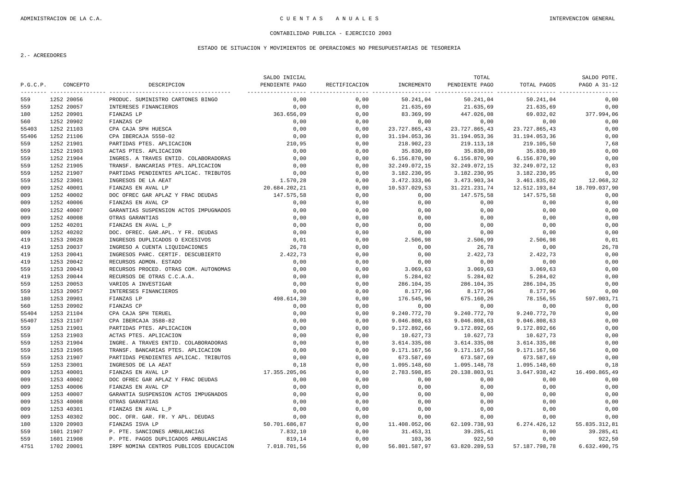### ESTADO DE SITUACION Y MOVIMIENTOS DE OPERACIONES NO PRESUPUESTARIAS DE TESORERIA

|          |            |                                        | SALDO INICIAL  |               |               | TOTAL          |               | SALDO PDTE.   |
|----------|------------|----------------------------------------|----------------|---------------|---------------|----------------|---------------|---------------|
| P.G.C.P. | CONCEPTO   | DESCRIPCION                            | PENDIENTE PAGO | RECTIFICACION | INCREMENTO    | PENDIENTE PAGO | TOTAL PAGOS   | PAGO A 31-12  |
| 559      | 1252 20056 | PRODUC. SUMINISTRO CARTONES BINGO      | 0,00           | 0,00          | 50.241,04     | 50.241,04      | 50.241,04     | 0,00          |
| 559      | 1252 20057 | INTERESES FINANCIEROS                  | 0.00           | 0,00          | 21.635,69     | 21.635,69      | 21.635,69     | 0,00          |
| 180      | 1252 20901 | FIANZAS LP                             | 363.656,09     | 0,00          | 83.369,99     | 447.026,08     | 69.032,02     | 377.994,06    |
| 560      | 1252 20902 | FIANZAS CP                             | 0,00           | 0,00          | 0,00          | 0,00           | 0,00          | 0,00          |
| 55403    | 1252 21103 | CPA CAJA SPH HUESCA                    | 0,00           | 0,00          | 23.727.865,43 | 23.727.865,43  | 23.727.865,43 | 0,00          |
| 55406    | 1252 21106 | CPA IBERCAJA 5550-02                   | 0,00           | 0,00          | 31.194.053,36 | 31.194.053,36  | 31.194.053,36 | 0,00          |
| 559      | 1252 21901 | PARTIDAS PTES. APLICACION              | 210,95         | 0,00          | 218.902,23    | 219.113,18     | 219.105,50    | 7,68          |
| 559      | 1252 21903 | ACTAS PTES. APLICACION                 | 0,00           | 0,00          | 35.830,89     | 35.830,89      | 35.830,89     | 0,00          |
| 559      | 1252 21904 | INGRES. A TRAVES ENTID. COLABORADORAS  | 0,00           | 0,00          | 6.156.870,90  | 6.156.870,90   | 6.156.870,90  | 0,00          |
| 559      | 1252 21905 | TRANSF. BANCARIAS PTES. APLICACION     | 0,00           | 0,00          | 32.249.072,15 | 32.249.072,15  | 32.249.072,12 | 0,03          |
| 559      | 1252 21907 | PARTIDAS PENDIENTES APLICAC. TRIBUTOS  | 0,00           | 0,00          | 3.182.230,95  | 3.182.230,95   | 3.182.230,95  | 0,00          |
| 559      | 1252 23001 | INGRESOS DE LA AEAT                    | 1.570,28       | 0,00          | 3.472.333,06  | 3.473.903,34   | 3.461.835,02  | 12.068,32     |
| 009      | 1252 40001 | FIANZAS EN AVAL LP                     | 20.684.202,21  | 0,00          | 10.537.029,53 | 31.221.231,74  | 12.512.193,84 | 18.709.037,90 |
| 009      | 1252 40002 | DOC OFREC GAR APLAZ Y FRAC DEUDAS      | 147.575,58     | 0.00          | 0.00          | 147.575,58     | 147.575,58    | 0,00          |
| 009      | 1252 40006 | FIANZAS EN AVAL CP                     | 0,00           | 0,00          | 0,00          | 0,00           | 0,00          | 0,00          |
| 009      | 1252 40007 | GARANTIAS SUSPENSION ACTOS IMPUGNADOS  | 0,00           | 0,00          | 0,00          | 0,00           | 0,00          | 0,00          |
| 009      | 1252 40008 | OTRAS GARANTIAS                        | 0,00           | 0,00          | 0,00          | 0,00           | 0,00          | 0,00          |
| 009      | 1252 40201 | FIANZAS EN AVAL L P                    | 0,00           | 0,00          | 0,00          | 0,00           | 0,00          | 0,00          |
| 009      | 1252 40202 | DOC. OFREC. GAR.APL. Y FR. DEUDAS      | 0,00           | 0,00          | 0,00          | 0,00           | 0,00          | 0,00          |
| 419      | 1253 20028 | INGRESOS DUPLICADOS O EXCESIVOS        | 0,01           | 0,00          | 2.506,98      | 2.506,99       | 2.506,98      | 0,01          |
| 419      | 1253 20037 | INGRESO A CUENTA LIQUIDACIONES         | 26,78          | 0,00          | 0,00          | 26,78          | 0,00          | 26,78         |
| 419      | 1253 20041 | INGRESOS PARC. CERTIF. DESCUBIERTO     | 2.422,73       | 0,00          | 0,00          | 2.422,73       | 2.422,73      | 0,00          |
| 419      | 1253 20042 | RECURSOS ADMON. ESTADO                 | 0,00           | 0,00          | 0,00          | 0,00           | 0,00          | 0,00          |
| 559      | 1253 20043 | RECURSOS PROCED. OTRAS COM. AUTONOMAS  | 0,00           | 0,00          | 3.069, 63     | 3.069, 63      | 3.069, 63     | 0,00          |
| 419      | 1253 20044 | RECURSOS DE OTRAS C.C.A.A.             | 0,00           | 0,00          | 5.284,02      | 5.284,02       | 5.284,02      | 0,00          |
| 559      | 1253 20053 | VARIOS A INVESTIGAR                    | 0,00           | 0,00          | 286.104,35    | 286.104,35     | 286.104,35    | 0,00          |
| 559      | 1253 20057 | INTERESES FINANCIEROS                  | 0,00           | 0,00          | 8.177,96      | 8.177,96       | 8.177,96      | 0,00          |
| 180      | 1253 20901 | FIANZAS LP                             | 498.614,30     | 0,00          | 176.545,96    | 675.160,26     | 78.156,55     | 597.003,71    |
| 560      | 1253 20902 | FIANZAS CP                             | 0,00           | 0,00          | 0,00          | 0,00           | 0,00          | 0,00          |
| 55404    | 1253 21104 | CPA CAJA SPH TERUEL                    | 0,00           | 0,00          | 9.240.772,70  | 9.240.772,70   | 9.240.772,70  | 0,00          |
| 55407    | 1253 21107 | CPA IBERCAJA 3588-82                   | 0,00           | 0.00          | 9.046.808,63  | 9.046.808,63   | 9.046.808,63  | 0,00          |
| 559      | 1253 21901 | PARTIDAS PTES. APLICACION              | 0,00           | 0,00          | 9.172.892,66  | 9.172.892,66   | 9.172.892,66  | 0,00          |
| 559      | 1253 21903 | ACTAS PTES. APLICACION                 | 0.00           | 0.00          | 10.627,73     | 10.627,73      | 10.627,73     | 0,00          |
| 559      | 1253 21904 | INGRE. A TRAVES ENTID. COLABORADORAS   | 0,00           | 0,00          | 3.614.335,08  | 3.614.335,08   | 3.614.335,08  | 0,00          |
| 559      | 1253 21905 | TRANSF. BANCARIAS PTES. APLICACION     | 0,00           | 0,00          | 9.171.167,56  | 9.171.167,56   | 9.171.167,56  | 0,00          |
| 559      | 1253 21907 | PARTIDAS PENDIENTES APLICAC. TRIBUTOS  | 0,00           | 0,00          | 673.587,69    | 673.587,69     | 673.587,69    | 0,00          |
| 559      | 1253 23001 | INGRESOS DE LA AEAT                    | 0,18           | 0,00          | 1.095.148,60  | 1.095.148,78   | 1.095.148,60  | 0,18          |
| 009      | 1253 40001 | FIANZAS EN AVAL LP                     | 17.355.205,06  | 0,00          | 2.783.598,85  | 20.138.803,91  | 3.647.938,42  | 16.490.865,49 |
| 009      | 1253 40002 | DOC OFREC GAR APLAZ Y FRAC DEUDAS      | 0,00           | 0,00          | 0,00          | 0,00           | 0,00          | 0,00          |
| 009      | 1253 40006 | FIANZAS EN AVAL CP                     | 0,00           | 0,00          | 0,00          | 0,00           | 0,00          | 0,00          |
| 009      | 1253 40007 | GARANTIA SUSPENSION ACTOS IMPUGNADOS   | 0,00           | 0,00          | 0,00          | 0,00           | 0,00          | 0,00          |
| 009      | 1253 40008 | OTRAS GARANTIAS                        | 0,00           | 0,00          | 0,00          | 0,00           | 0,00          | 0,00          |
| 009      | 1253 40301 | FIANZAS EN AVAL L P                    | 0,00           | 0,00          | 0,00          | 0,00           | 0,00          | 0,00          |
| 009      | 1253 40302 | DOC. OFR. GAR. FR. Y APL. DEUDAS       | 0,00           | 0,00          | 0,00          | 0,00           | 0,00          | 0,00          |
| 180      | 1320 20903 | FIANZAS ISVA LP                        | 50.701.686,87  | 0,00          | 11.408.052,06 | 62.109.738,93  | 6.274.426,12  | 55.835.312,81 |
| 559      | 1601 21907 | P. PTE. SANCIONES AMBULANCIAS          | 7.832,10       | 0,00          | 31.453,31     | 39.285,41      | 0,00          | 39.285,41     |
| 559      | 1601 21908 | P. PTE. PAGOS DUPLICADOS AMBULANCIAS   | 819,14         | 0,00          | 103,36        | 922,50         | 0,00          | 922,50        |
| 4751     | 1702 20001 | IRPF NOMINA CENTROS PUBLICOS EDUCACION | 7.018.701,56   | 0.00          | 56.801.587,97 | 63.820.289,53  | 57.187.798,78 | 6.632.490,75  |
|          |            |                                        |                |               |               |                |               |               |